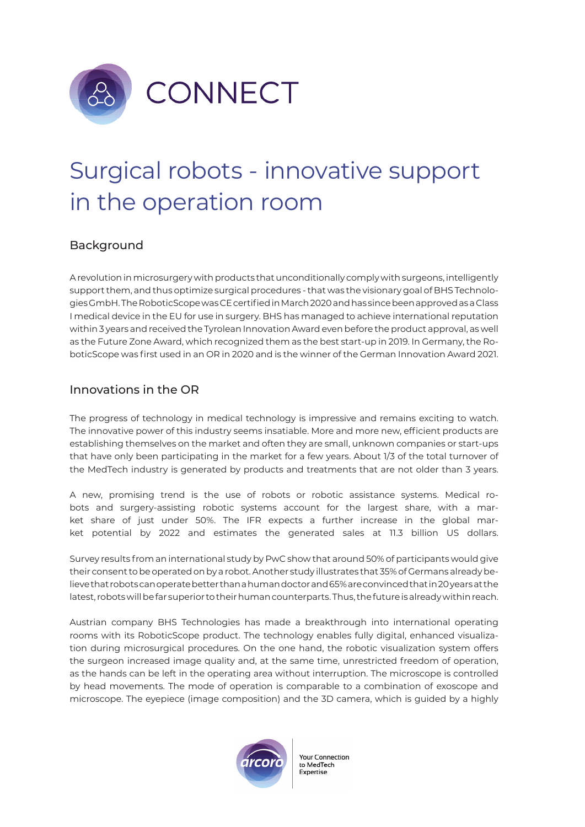

## Surgical robots - innovative support in the operation room

## Background

A revolution in microsurgery with products that unconditionally comply with surgeons, intelligently support them, and thus optimize surgical procedures - that was the visionary goal of BHS Technologies GmbH. The RoboticScope was CE certified in March 2020 and has since been approved as a Class I medical device in the EU for use in surgery. BHS has managed to achieve international reputation within 3 years and received the Tyrolean Innovation Award even before the product approval, as well as the Future Zone Award, which recognized them as the best start-up in 2019. In Germany, the RoboticScope was first used in an OR in 2020 and is the winner of the German Innovation Award 2021.

## Innovations in the OR

The progress of technology in medical technology is impressive and remains exciting to watch. The innovative power of this industry seems insatiable. More and more new, efficient products are establishing themselves on the market and often they are small, unknown companies or start-ups that have only been participating in the market for a few years. About 1/3 of the total turnover of the MedTech industry is generated by products and treatments that are not older than 3 years.

A new, promising trend is the use of robots or robotic assistance systems. Medical robots and surgery-assisting robotic systems account for the largest share, with a market share of just under 50%. The IFR expects a further increase in the global market potential by 2022 and estimates the generated sales at 11.3 billion US dollars.

Survey results from an international study by PwC show that around 50% of participants would give their consent to be operated on by a robot. Another study illustrates that 35% of Germans already believe that robots can operate better than a human doctor and 65% are convinced that in 20 years at the latest, robots will be far superior to their human counterparts. Thus, the future is already within reach.

Austrian company BHS Technologies has made a breakthrough into international operating rooms with its RoboticScope product. The technology enables fully digital, enhanced visualization during microsurgical procedures. On the one hand, the robotic visualization system offers the surgeon increased image quality and, at the same time, unrestricted freedom of operation, as the hands can be left in the operating area without interruption. The microscope is controlled by head movements. The mode of operation is comparable to a combination of exoscope and microscope. The eyepiece (image composition) and the 3D camera, which is guided by a highly



**Your Connection** to MedTech Expertise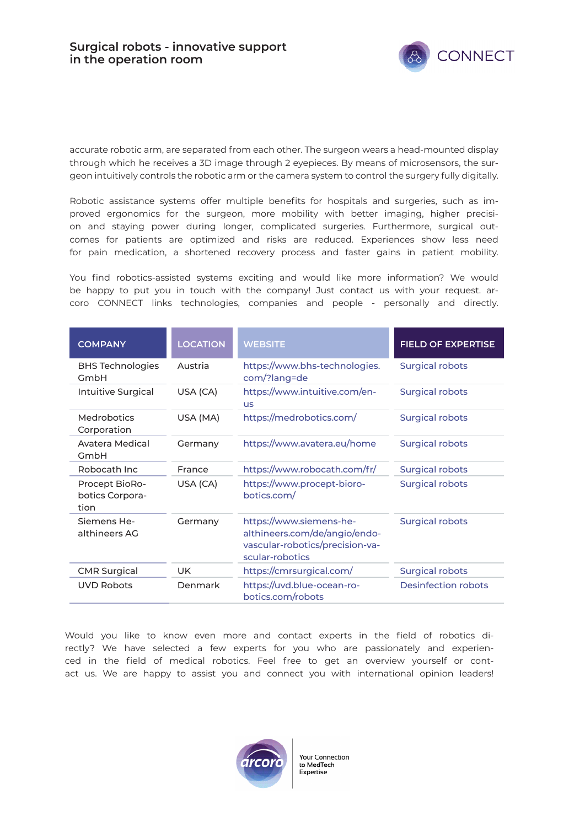

accurate robotic arm, are separated from each other. The surgeon wears a head-mounted display through which he receives a 3D image through 2 eyepieces. By means of microsensors, the surgeon intuitively controls the robotic arm or the camera system to control the surgery fully digitally.

Robotic assistance systems offer multiple benefits for hospitals and surgeries, such as improved ergonomics for the surgeon, more mobility with better imaging, higher precision and staying power during longer, complicated surgeries. Furthermore, surgical outcomes for patients are optimized and risks are reduced. Experiences show less need for pain medication, a shortened recovery process and faster gains in patient mobility.

You find robotics-assisted systems exciting and would like more information? We would be happy to put you in touch with the company! Just contact us with your request. arcoro CONNECT links technologies, companies and people - personally and directly.

| <b>COMPANY</b>                            | <b>LOCATION</b> | <b>WEBSITE</b>                                                                                                 | <b>FIELD OF EXPERTISE</b>  |
|-------------------------------------------|-----------------|----------------------------------------------------------------------------------------------------------------|----------------------------|
| <b>BHS Technologies</b><br>GmbH           | Austria         | https://www.bhs-technologies.<br>com/?lang=de                                                                  | <b>Surgical robots</b>     |
| Intuitive Surgical                        | USA (CA)        | https://www.intuitive.com/en-<br><b>US</b>                                                                     | <b>Surgical robots</b>     |
| <b>Medrobotics</b><br>Corporation         | USA (MA)        | https://medrobotics.com/                                                                                       | <b>Surgical robots</b>     |
| Avatera Medical<br>GmbH                   | Germany         | https://www.avatera.eu/home                                                                                    | <b>Surgical robots</b>     |
| Robocath Inc                              | France          | https://www.robocath.com/fr/                                                                                   | <b>Surgical robots</b>     |
| Procept BioRo-<br>botics Corpora-<br>tion | USA (CA)        | https://www.procept-bioro-<br>botics.com/                                                                      | <b>Surgical robots</b>     |
| Siemens He-<br>althineers AG              | Germany         | https://www.siemens-he-<br>althineers.com/de/angio/endo-<br>vascular-robotics/precision-va-<br>scular-robotics | <b>Surgical robots</b>     |
| <b>CMR Surgical</b>                       | <b>UK</b>       | https://cmrsurgical.com/                                                                                       | <b>Surgical robots</b>     |
| <b>UVD Robots</b>                         | Denmark         | https://uvd.blue-ocean-ro-<br>botics.com/robots                                                                | <b>Desinfection robots</b> |

Would you like to know even more and contact experts in the field of robotics directly? We have selected a few experts for you who are passionately and experienced in the field of medical robotics. Feel free to get an overview yourself or contact us. We are happy to assist you and connect you with international opinion leaders!



**Your Connection** to MedTech Expertise